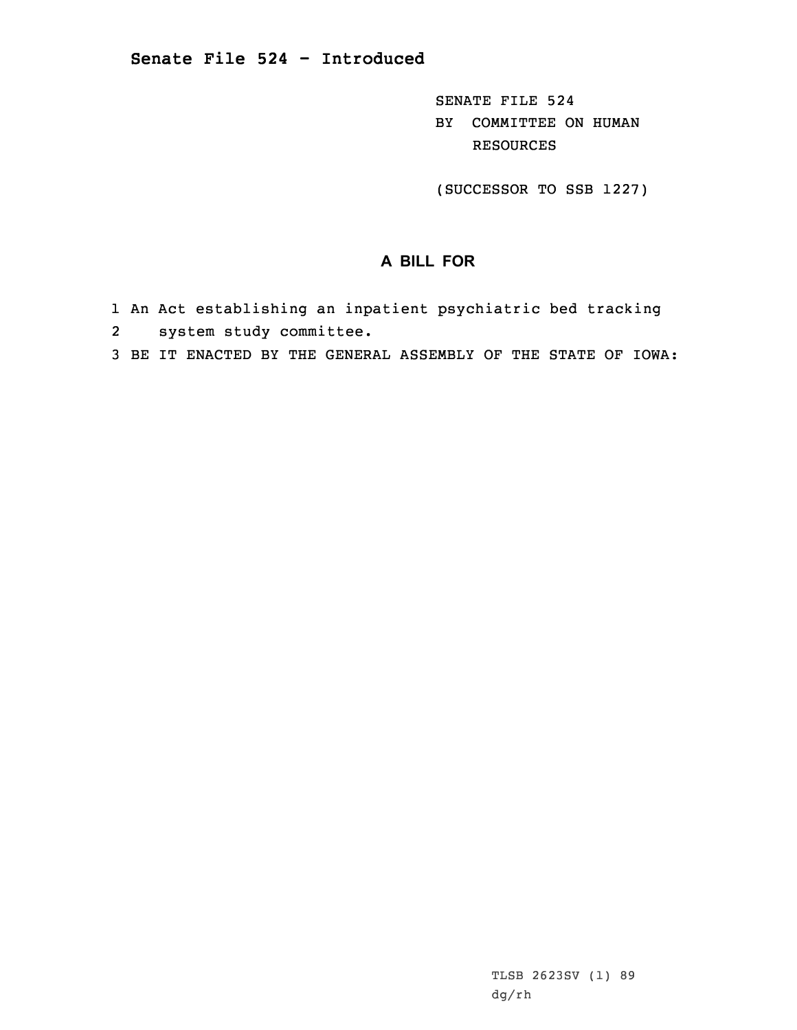SENATE FILE 524 BY COMMITTEE ON HUMAN RESOURCES

(SUCCESSOR TO SSB 1227)

## **A BILL FOR**

- 1 An Act establishing an inpatient psychiatric bed tracking
- 2system study committee.
- 3 BE IT ENACTED BY THE GENERAL ASSEMBLY OF THE STATE OF IOWA: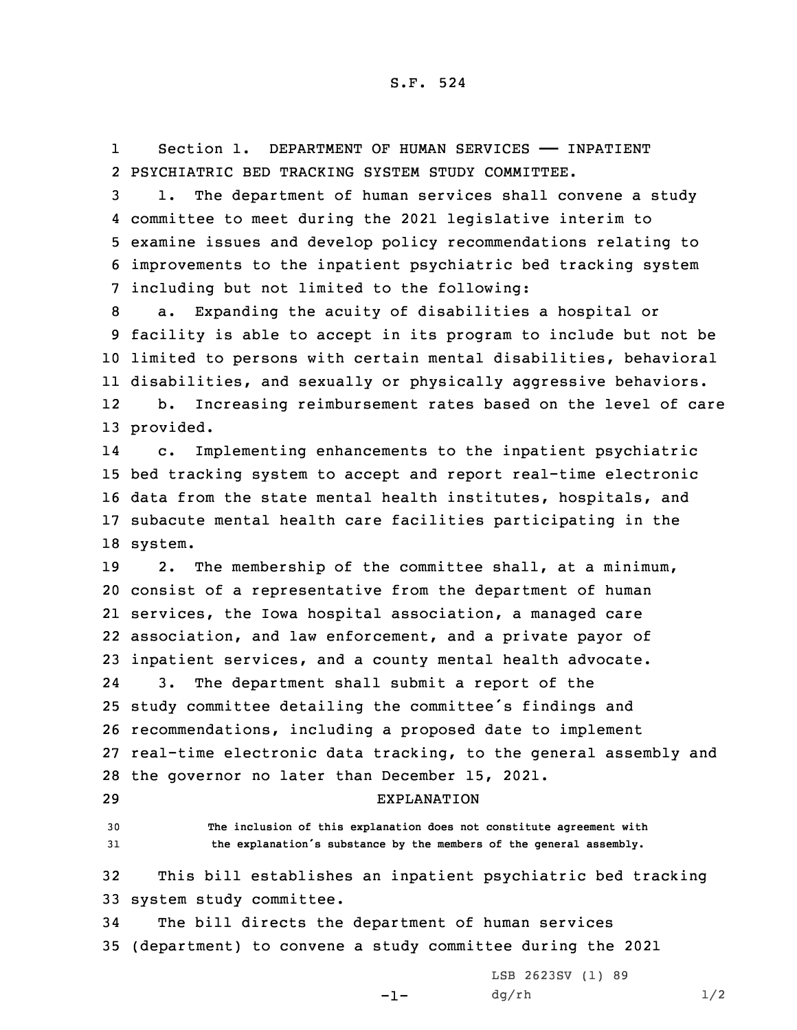1Section 1. DEPARTMENT OF HUMAN SERVICES - INPATIENT 2 PSYCHIATRIC BED TRACKING SYSTEM STUDY COMMITTEE.

 1. The department of human services shall convene <sup>a</sup> study committee to meet during the 2021 legislative interim to examine issues and develop policy recommendations relating to improvements to the inpatient psychiatric bed tracking system including but not limited to the following:

 a. Expanding the acuity of disabilities <sup>a</sup> hospital or facility is able to accept in its program to include but not be limited to persons with certain mental disabilities, behavioral disabilities, and sexually or physically aggressive behaviors. 12 b. Increasing reimbursement rates based on the level of care provided.

14 c. Implementing enhancements to the inpatient psychiatric 15 bed tracking system to accept and report real-time electronic 16 data from the state mental health institutes, hospitals, and 17 subacute mental health care facilities participating in the 18 system.

 2. The membership of the committee shall, at <sup>a</sup> minimum, consist of <sup>a</sup> representative from the department of human services, the Iowa hospital association, <sup>a</sup> managed care association, and law enforcement, and <sup>a</sup> private payor of inpatient services, and <sup>a</sup> county mental health advocate. 24 3. The department shall submit <sup>a</sup> report of the study committee detailing the committee's findings and recommendations, including <sup>a</sup> proposed date to implement real-time electronic data tracking, to the general assembly and the governor no later than December 15, 2021.

## 29 EXPLANATION

30 **The inclusion of this explanation does not constitute agreement with** <sup>31</sup> **the explanation's substance by the members of the general assembly.**

32 This bill establishes an inpatient psychiatric bed tracking 33 system study committee.

34 The bill directs the department of human services 35 (department) to convene <sup>a</sup> study committee during the 2021

-1-

LSB 2623SV (1) 89  $dg/rh$  1/2